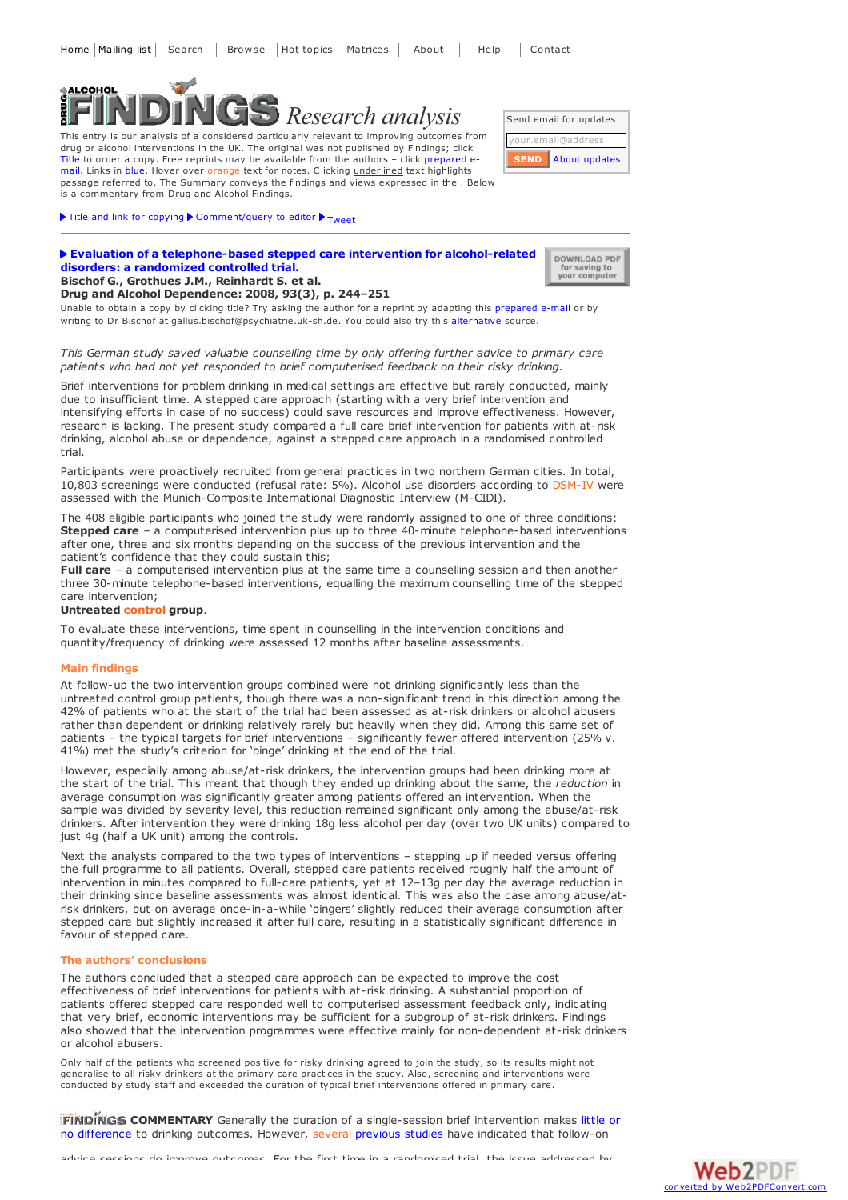# **SALCOHOL** *Research analysis*

This entry is our analysis of a considered particularly relevant to improving outcomes from drug or alcohol interventions in the UK. The original was not published by Findings; click Title to order a copy. Free reprints may be available from the authors - click prepared email. Links in blue. Hover over orange text for notes. Clicking underlined text highlights passage referred to. The Summary conveys the findings and views expressed in the . Below is a commentary from Drug and Alcohol Findings.

Send email for updates ail@addres About [updates](https://findings.org.uk/mailing_list.php) **SEND**

> DOWNLOAD PDF for saving to<br>your computer

## $\blacktriangleright$  Title and link for [copying](javascript:;)  $\blacktriangleright$  [Comment/query](mailto:editor@findings.org.uk?Subject=Findings entry: Evaluation of a telephone-based stepped care intervention for alcohol-related disorders: a randomized controlled trial&body=Dear Editor%0A%0ARegarding the Findings document:%0AEvaluation of a telephone-based stepped care intervention for alcohol-related disorders: a randomized controlled trial%0Aat:%0Ahttps://findings.org.uk/PHP/dl.php?file=Bischof_G_10.txt%0A%0AI would appreciate your response to this comment/query:%0A[Enter your comment/query here]) to editor  $\blacktriangleright$  [Tweet](https://twitter.com/share)

#### **Evaluation of a [telephone-based](http://dx.doi.org/10.1016/j.drugalcdep.2007.10.003) stepped care intervention for alcohol-related disorders: a randomized controlled trial. Bischof G., Grothues J.M., Reinhardt S. et al.**

**Drug and Alcohol Dependence: 2008, 93(3), p. 244–251**

Unable to obtain a copy by clicking title? Try asking the author for a reprint by adapting this [prepared](mailto:gallus.bischof@psychiatrie.uk-sh.de?Subject=Reprint request&body=Dear Dr Bischof%0A%0AOn the Drug and Alcohol Findings web site (https://findings.org.uk) I read about your article:%0ABischof G., Grothues J.M., Reinhardt S. et al. Evaluation of a telephone-based stepped care intervention for alcohol-related disorders: a randomized controlled trial. Drug and Alcohol Dependence: 2008, 93(3), p. 244-251%0A%0AWould it be possible to for me to be sent a PDF reprint or the manuscript by replying to this e-mail?%0A) e-mail or by writing to Dr Bischof at gallus.bischof@psychiatrie.uk-sh.de. You could also try this [alternative](http://www.ncbi.nlm.nih.gov/pubmed/18054443) source.

#### *This German study saved valuable counselling time by only offering further advice to primary care patients who had not yet responded to brief computerised feedback on their risky drinking.*

Brief interventions for problem drinking in medical settings are effective but rarely conducted, mainly due to insufficient time. A stepped care approach (starting with a very brief intervention and intensifying efforts in case of no success) could save resources and improve effectiveness. However, research is lacking. The present study compared a full care brief intervention for patients with at-risk drinking, alcohol abuse or dependence, against a stepped care approach in a randomised controlled trial.

Participants were proactively recruited from general practices in two northern German cities. In total, 10,803 screenings were conducted (refusal rate: 5%). Alcohol use disorders according to DSM-IV were assessed with the Munich-Composite International Diagnostic Interview (M-CIDI).

The 408 eligible participants who joined the study were randomly assigned to one of three conditions: **Stepped care** – a computerised intervention plus up to three 40-minute telephone-based interventions after one, three and six months depending on the success of the previous intervention and the patient's confidence that they could sustain this;

**Full care** – a computerised intervention plus at the same time a counselling session and then another three 30-minute telephone-based interventions, equalling the maximum counselling time of the stepped care intervention;

### **Untreated control group**.

To evaluate these interventions, time spent in counselling in the intervention conditions and quantity/frequency of drinking were assessed 12 months after baseline assessments.

#### **Main findings**

At follow-up the two intervention groups combined were not drinking significantly less than the untreated control group patients, though there was a non-significant trend in this direction among the 42% of patients who at the start of the trial had been assessed as at-risk drinkers or alcohol abusers rather than dependent or drinking relatively rarely but heavily when they did. Among this same set of patients – the typical targets for brief interventions – significantly fewer offered intervention (25% v. 41%) met the study's criterion for 'binge' drinking at the end of the trial.

However, especially among abuse/at-risk drinkers, the intervention groups had been drinking more at the start of the trial. This meant that though they ended up drinking about the same, the *reduction* in average consumption was significantly greater among patients offered an intervention. When the sample was divided by severity level, this reduction remained significant only among the abuse/at-risk drinkers. After intervention they were drinking 18g less alcohol per day (over two UK units) compared to just 4g (half a UK unit) among the controls.

Next the analysts compared to the two types of interventions – stepping up if needed versus offering the full programme to all patients. Overall, stepped care patients received roughly half the amount of intervention in minutes compared to full-care patients, yet at 12–13g per day the average reduction in their drinking since baseline assessments was almost identical. This was also the case among abuse/atrisk drinkers, but on average once-in-a-while 'bingers' slightly reduced their average consumption after stepped care but slightly increased it after full care, resulting in a statistically significant difference in favour of stepped care.

#### **The authors' conclusions**

The authors concluded that a stepped care approach can be expected to improve the cost effectiveness of brief interventions for patients with at-risk drinking. A substantial proportion of patients offered stepped care responded well to computerised assessment feedback only, indicating that very brief, economic interventions may be sufficient for a subgroup of at-risk drinkers. Findings also showed that the intervention programmes were effective mainly for non-dependent at-risk drinkers or alcohol abusers.

Only half of the patients who screened positive for risky drinking agreed to join the study, so its results might not generalise to all risky drinkers at the primary care practices in the study. Also, screening and interventions were conducted by study staff and exceeded the duration of typical brief interventions offered in primary care.

**FINDINGS [COMMENTARY](https://findings.org.uk/count/downloads/download.php?file=BI_ward.nug
)** Generally the duration of a single-session brief intervention makes little or no difference to drinking outcomes. However, several [previous](http://dx.doi.org/10.1002/14651858.CD004148.pub3) studies have indicated that follow-on

advice sessions do improve outcomes. For the first time in a randomised trial, the issue addressed by